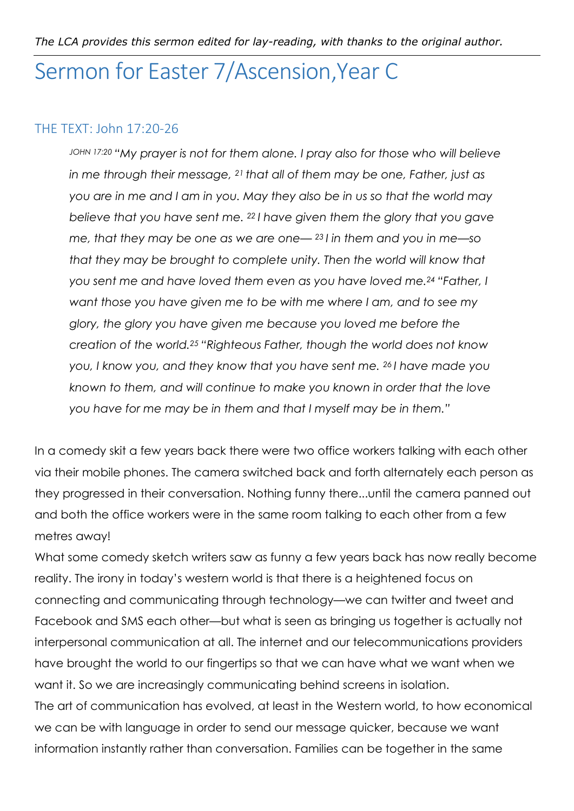## Sermon for Easter 7/Ascension,Year C

## THE TEXT: John 17:20-26

*JOHN 17:20 "My prayer is not for them alone. I pray also for those who will believe in me through their message, 21 that all of them may be one, Father, just as you are in me and I am in you. May they also be in us so that the world may believe that you have sent me. 22 I have given them the glory that you gave me, that they may be one as we are one— 23 I in them and you in me—so that they may be brought to complete unity. Then the world will know that you sent me and have loved them even as you have loved me.24 "Father, I want those you have given me to be with me where I am, and to see my glory, the glory you have given me because you loved me before the creation of the world.25 "Righteous Father, though the world does not know you, I know you, and they know that you have sent me. 26 I have made you known to them, and will continue to make you known in order that the love you have for me may be in them and that I myself may be in them."* 

In a comedy skit a few years back there were two office workers talking with each other via their mobile phones. The camera switched back and forth alternately each person as they progressed in their conversation. Nothing funny there...until the camera panned out and both the office workers were in the same room talking to each other from a few metres away!

What some comedy sketch writers saw as funny a few years back has now really become reality. The irony in today's western world is that there is a heightened focus on connecting and communicating through technology—we can twitter and tweet and Facebook and SMS each other—but what is seen as bringing us together is actually not interpersonal communication at all. The internet and our telecommunications providers have brought the world to our fingertips so that we can have what we want when we want it. So we are increasingly communicating behind screens in isolation. The art of communication has evolved, at least in the Western world, to how economical we can be with language in order to send our message quicker, because we want information instantly rather than conversation. Families can be together in the same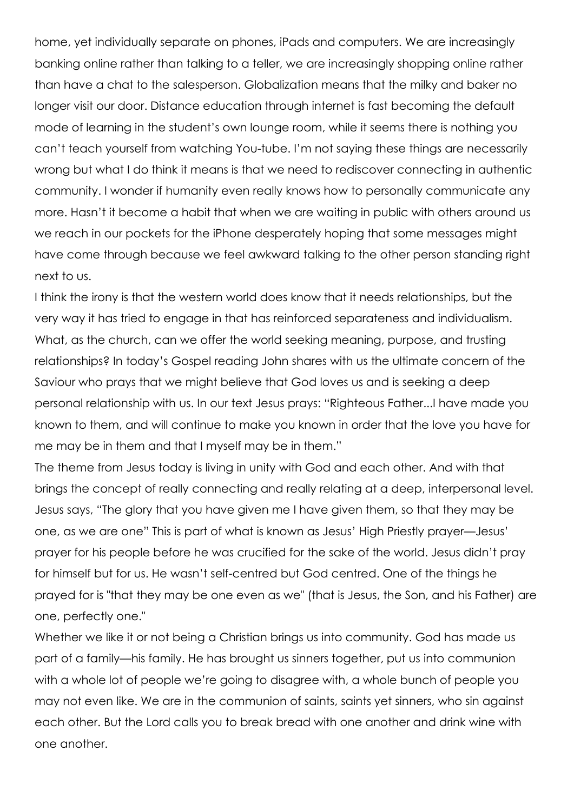home, yet individually separate on phones, iPads and computers. We are increasingly banking online rather than talking to a teller, we are increasingly shopping online rather than have a chat to the salesperson. Globalization means that the milky and baker no longer visit our door. Distance education through internet is fast becoming the default mode of learning in the student's own lounge room, while it seems there is nothing you can't teach yourself from watching You-tube. I'm not saying these things are necessarily wrong but what I do think it means is that we need to rediscover connecting in authentic community. I wonder if humanity even really knows how to personally communicate any more. Hasn't it become a habit that when we are waiting in public with others around us we reach in our pockets for the iPhone desperately hoping that some messages might have come through because we feel awkward talking to the other person standing right next to us.

I think the irony is that the western world does know that it needs relationships, but the very way it has tried to engage in that has reinforced separateness and individualism. What, as the church, can we offer the world seeking meaning, purpose, and trusting relationships? In today's Gospel reading John shares with us the ultimate concern of the Saviour who prays that we might believe that God loves us and is seeking a deep personal relationship with us. In our text Jesus prays: "Righteous Father...I have made you known to them, and will continue to make you known in order that the love you have for me may be in them and that I myself may be in them."

The theme from Jesus today is living in unity with God and each other. And with that brings the concept of really connecting and really relating at a deep, interpersonal level. Jesus says, "The glory that you have given me I have given them, so that they may be one, as we are one" This is part of what is known as Jesus' High Priestly prayer—Jesus' prayer for his people before he was crucified for the sake of the world. Jesus didn't pray for himself but for us. He wasn't self-centred but God centred. One of the things he prayed for is "that they may be one even as we" (that is Jesus, the Son, and his Father) are one, perfectly one."

Whether we like it or not being a Christian brings us into community. God has made us part of a family—his family. He has brought us sinners together, put us into communion with a whole lot of people we're going to disagree with, a whole bunch of people you may not even like. We are in the communion of saints, saints yet sinners, who sin against each other. But the Lord calls you to break bread with one another and drink wine with one another.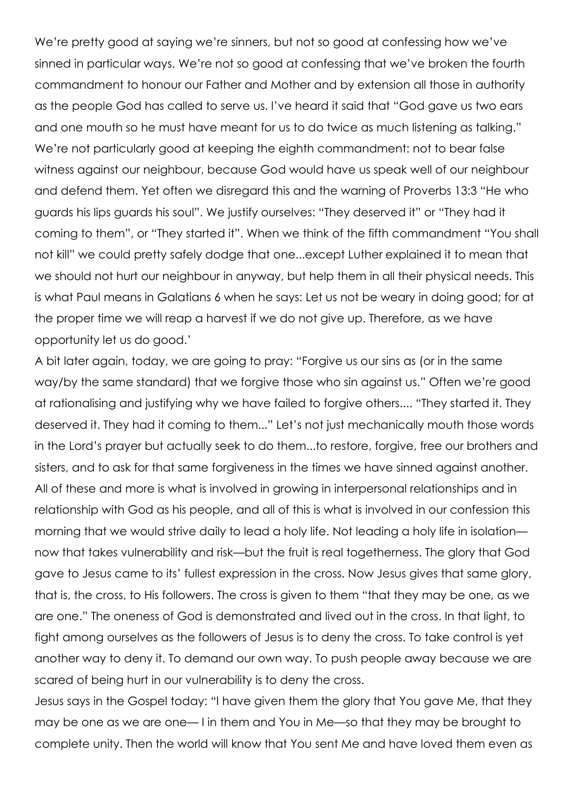We're pretty good at saying we're sinners, but not so good at confessing how we've sinned in particular ways. We're not so good at confessing that we've broken the fourth commandment to honour our Father and Mother and by extension all those in authority as the people God has called to serve us. I've heard it said that "God gave us two ears and one mouth so he must have meant for us to do twice as much listening as talking." We're not particularly good at keeping the eighth commandment: not to bear false witness against our neighbour, because God would have us speak well of our neighbour and defend them. Yet often we disregard this and the warning of Proverbs 13:3 "He who guards his lips guards his soul". We justify ourselves: "They deserved it" or "They had it coming to them", or "They started it". When we think of the fifth commandment "You shall not kill" we could pretty safely dodge that one...except Luther explained it to mean that we should not hurt our neighbour in anyway, but help them in all their physical needs. This is what Paul means in Galatians 6 when he says: Let us not be weary in doing good; for at the proper time we will reap a harvest if we do not give up. Therefore, as we have opportunity let us do good.'

A bit later again, today, we are going to pray: "Forgive us our sins as (or in the same way/by the same standard) that we forgive those who sin against us." Often we're good at rationalising and justifying why we have failed to forgive others.... "They started it. They deserved it. They had it coming to them..." Let's not just mechanically mouth those words in the Lord's prayer but actually seek to do them...to restore, forgive, free our brothers and sisters, and to ask for that same forgiveness in the times we have sinned against another. All of these and more is what is involved in growing in interpersonal relationships and in relationship with God as his people, and all of this is what is involved in our confession this morning that we would strive daily to lead a holy life. Not leading a holy life in isolation now that takes vulnerability and risk—but the fruit is real togetherness. The glory that God gave to Jesus came to its' fullest expression in the cross. Now Jesus gives that same glory, that is, the cross, to His followers. The cross is given to them "that they may be one, as we are one." The oneness of God is demonstrated and lived out in the cross. In that light, to fight among ourselves as the followers of Jesus is to deny the cross. To take control is yet another way to deny it. To demand our own way. To push people away because we are scared of being hurt in our vulnerability is to deny the cross.

Jesus says in the Gospel today: "I have given them the glory that You gave Me, that they may be one as we are one— I in them and You in Me—so that they may be brought to complete unity. Then the world will know that You sent Me and have loved them even as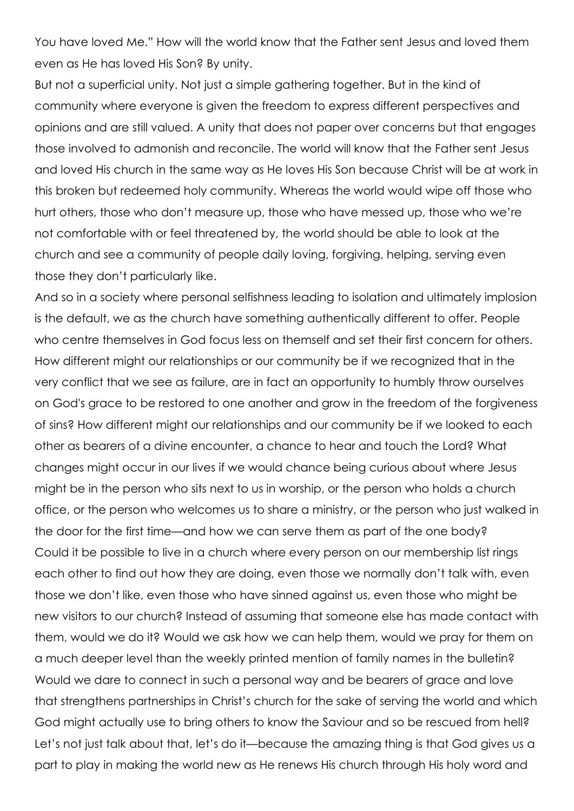You have loved Me." How will the world know that the Father sent Jesus and loved them even as He has loved His Son? By unity.

But not a superficial unity. Not just a simple gathering together. But in the kind of community where everyone is given the freedom to express different perspectives and opinions and are still valued. A unity that does not paper over concerns but that engages those involved to admonish and reconcile. The world will know that the Father sent Jesus and loved His church in the same way as He loves His Son because Christ will be at work in this broken but redeemed holy community. Whereas the world would wipe off those who hurt others, those who don't measure up, those who have messed up, those who we're not comfortable with or feel threatened by, the world should be able to look at the church and see a community of people daily loving, forgiving, helping, serving even those they don't particularly like.

And so in a society where personal selfishness leading to isolation and ultimately implosion is the default, we as the church have something authentically different to offer. People who centre themselves in God focus less on themself and set their first concern for others. How different might our relationships or our community be if we recognized that in the very conflict that we see as failure, are in fact an opportunity to humbly throw ourselves on God's grace to be restored to one another and grow in the freedom of the forgiveness of sins? How different might our relationships and our community be if we looked to each other as bearers of a divine encounter, a chance to hear and touch the Lord? What changes might occur in our lives if we would chance being curious about where Jesus might be in the person who sits next to us in worship, or the person who holds a church office, or the person who welcomes us to share a ministry, or the person who just walked in the door for the first time—and how we can serve them as part of the one body? Could it be possible to live in a church where every person on our membership list rings each other to find out how they are doing, even those we normally don't talk with, even those we don't like, even those who have sinned against us, even those who might be new visitors to our church? Instead of assuming that someone else has made contact with them, would we do it? Would we ask how we can help them, would we pray for them on a much deeper level than the weekly printed mention of family names in the bulletin? Would we dare to connect in such a personal way and be bearers of grace and love that strengthens partnerships in Christ's church for the sake of serving the world and which God might actually use to bring others to know the Saviour and so be rescued from hell? Let's not just talk about that, let's do it—because the amazing thing is that God gives us a part to play in making the world new as He renews His church through His holy word and